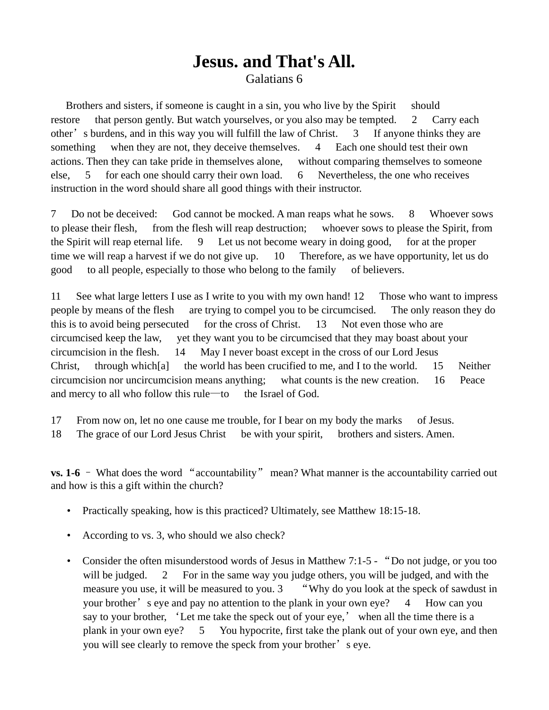## **Jesus. and That's All.** Galatians 6

Brothers and sisters, if someone is caught in a sin, you who live by the Spirit should restore that person gently. But watch yourselves, or you also may be tempted. 2 Carry each other's burdens, and in this way you will fulfill the law of Christ. 3 If anyone thinks they are something when they are not, they deceive themselves. 4 Each one should test their own actions. Then they can take pride in themselves alone, without comparing themselves to someone else, 5 for each one should carry their own load. 6 Nevertheless, the one who receives instruction in the word should share all good things with their instructor.

7 Do not be deceived: God cannot be mocked. A man reaps what he sows. 8 Whoever sows to please their flesh, from the flesh will reap destruction; whoever sows to please the Spirit, from the Spirit will reap eternal life. 9 Let us not become weary in doing good, for at the proper time we will reap a harvest if we do not give up. 10 Therefore, as we have opportunity, let us do good to all people, especially to those who belong to the family of believers.

11 See what large letters I use as I write to you with my own hand! 12 Those who want to impress people by means of the flesh are trying to compel you to be circumcised. The only reason they do this is to avoid being persecuted for the cross of Christ. 13 Not even those who are circumcised keep the law, yet they want you to be circumcised that they may boast about your circumcision in the flesh. 14 May I never boast except in the cross of our Lord Jesus Christ, through which[a] the world has been crucified to me, and I to the world. 15 Neither circumcision nor uncircumcision means anything; what counts is the new creation. 16 Peace and mercy to all who follow this rule—to the Israel of God.

- 17 From now on, let no one cause me trouble, for I bear on my body the marks of Jesus.
- 18 The grace of our Lord Jesus Christ be with your spirit, brothers and sisters. Amen.

**vs. 1-6** – What does the word "accountability" mean? What manner is the accountability carried out and how is this a gift within the church?

- Practically speaking, how is this practiced? Ultimately, see Matthew 18:15-18.
- According to vs. 3, who should we also check?
- Consider the often misunderstood words of Jesus in Matthew 7:1-5 "Do not judge, or you too will be judged. 2 For in the same way you judge others, you will be judged, and with the measure you use, it will be measured to you. 3 "Why do you look at the speck of sawdust in your brother's eye and pay no attention to the plank in your own eye? 4 How can you say to your brother, 'Let me take the speck out of your eye,' when all the time there is a plank in your own eye? 5 You hypocrite, first take the plank out of your own eye, and then you will see clearly to remove the speck from your brother's eye.